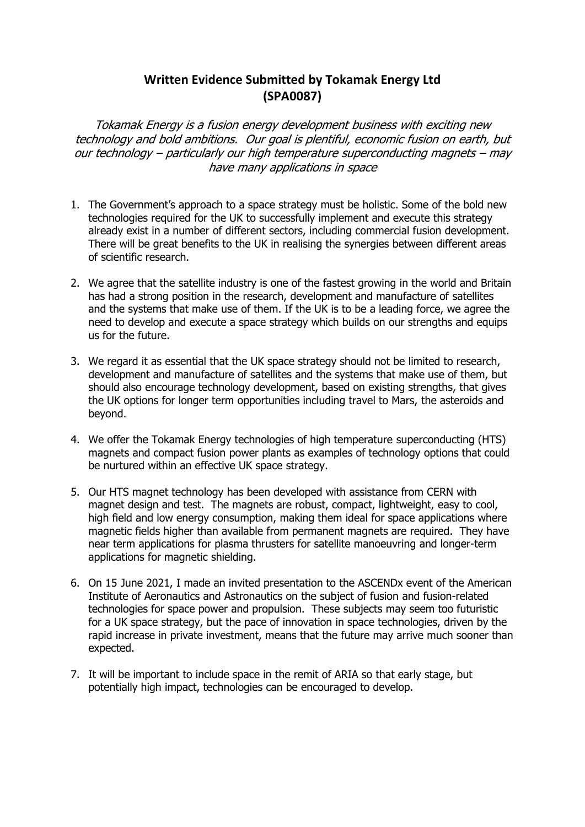### **Written Evidence Submitted by Tokamak Energy Ltd (SPA0087)**

*Tokamak Energy is <sup>a</sup> fusion energy development business with exciting new technology and bold ambitions. Our goal is plentiful, economic fusion on earth, but our technology – particularly our high temperature superconducting magnets – may have many applications in space*

- 1. The Government's approach to a space strategy must be holistic. Some of the bold new technologies required for the UK to successfully implement and execute this strategy already exist in a number of different sectors, including commercial fusion development. There will be great benefits to the UK in realising the synergies between different areas of scientific research.
- 2. We agree that the satellite industry is one of the fastest growing in the world and Britain has had a strong position in the research, development and manufacture of satellites and the systems that make use of them. If the UK is to be a leading force, we agree the need to develop and execute a space strategy which builds on our strengths and equips us for the future.
- 3. We regard it as essential that the UK space strategy should not be limited to research, development and manufacture of satellites and the systems that make use of them, but should also encourage technology development, based on existing strengths, that gives the UK options for longer term opportunities including travel to Mars, the asteroids and beyond.
- 4. We offer the Tokamak Energy technologies of high temperature superconducting (HTS) magnets and compact fusion power plants as examples of technology options that could be nurtured within an effective UK space strategy.
- 5. Our HTS magnet technology has been developed with assistance from CERN with magnet design and test. The magnets are robust, compact, lightweight, easy to cool, high field and low energy consumption, making them ideal for space applications where magnetic fields higher than available from permanent magnets are required. They have near term applications for plasma thrusters for satellite manoeuvring and longer-term applications for magnetic shielding.
- 6. On 15 June 2021, I made an invited presentation to the ASCENDx event of the American Institute of Aeronautics and Astronautics on the subject of fusion and fusion-related technologies for space power and propulsion. These subjects may seem too futuristic for a UK space strategy, but the pace of innovation in space technologies, driven by the rapid increase in private investment, means that the future may arrive much sooner than expected.
- 7. It will be important to include space in the remit of ARIA so that early stage, but potentially high impact, technologies can be encouraged to develop.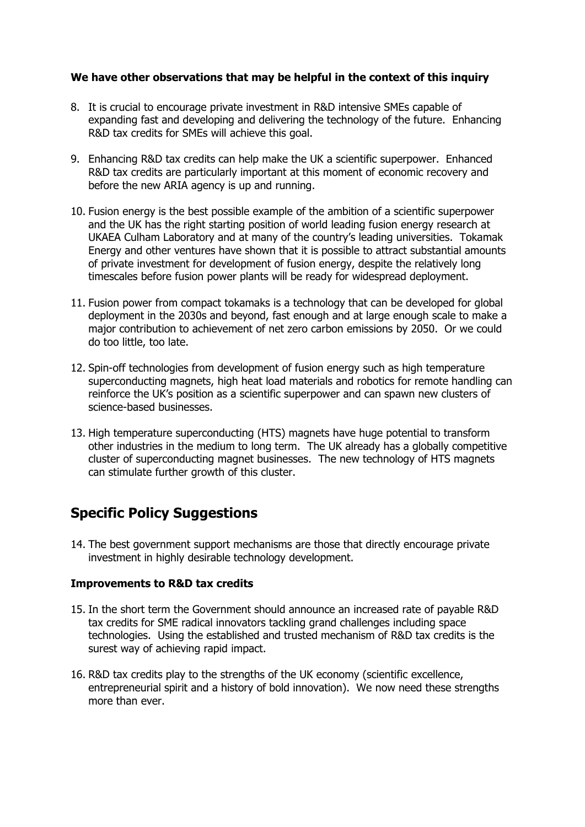#### **We have other observations that may be helpful in the context of this inquiry**

- 8. It is crucial to encourage private investment in R&D intensive SMEs capable of expanding fast and developing and delivering the technology of the future. Enhancing R&D tax credits for SMEs will achieve this goal.
- 9. Enhancing R&D tax credits can help make the UK a scientific superpower. Enhanced R&D tax credits are particularly important at this moment of economic recovery and before the new ARIA agency is up and running.
- 10. Fusion energy is the best possible example of the ambition of a scientific superpower and the UK has the right starting position of world leading fusion energy research at UKAEA Culham Laboratory and at many of the country's leading universities. Tokamak Energy and other ventures have shown that it is possible to attract substantial amounts of private investment for development of fusion energy, despite the relatively long timescales before fusion power plants will be ready for widespread deployment.
- 11. Fusion power from compact tokamaks is a technology that can be developed for global deployment in the 2030s and beyond, fast enough and at large enough scale to make a major contribution to achievement of net zero carbon emissions by 2050. Or we could do too little, too late.
- 12. Spin-off technologies from development of fusion energy such as high temperature superconducting magnets, high heat load materials and robotics for remote handling can reinforce the UK's position as a scientific superpower and can spawn new clusters of science-based businesses.
- 13. High temperature superconducting (HTS) magnets have huge potential to transform other industries in the medium to long term. The UK already has a globally competitive cluster of superconducting magnet businesses. The new technology of HTS magnets can stimulate further growth of this cluster.

## **Specific Policy Suggestions**

14. The best government support mechanisms are those that directly encourage private investment in highly desirable technology development.

### **Improvements to R&D tax credits**

- 15. In the short term the Government should announce an increased rate of payable R&D tax credits for SME radical innovators tackling grand challenges including space technologies. Using the established and trusted mechanism of R&D tax credits is the surest way of achieving rapid impact.
- 16. R&D tax credits play to the strengths of the UK economy (scientific excellence, entrepreneurial spirit and a history of bold innovation). We now need these strengths more than ever.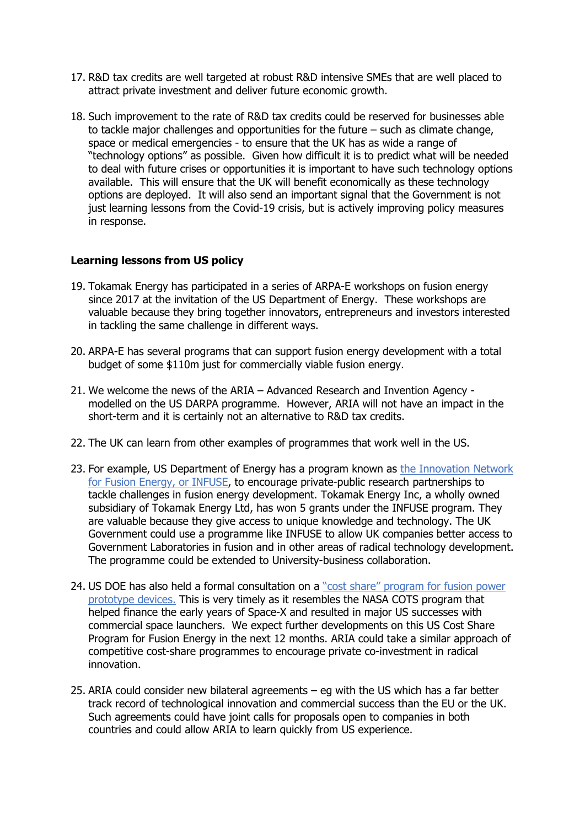- 17. R&D tax credits are well targeted at robust R&D intensive SMEs that are well placed to attract private investment and deliver future economic growth.
- 18. Such improvement to the rate of R&D tax credits could be reserved for businesses able to tackle major challenges and opportunities for the future – such as climate change, space or medical emergencies - to ensure that the UK has as wide a range of "technology options" as possible. Given how difficult it is to predict what will be needed to deal with future crises or opportunities it is important to have such technology options available. This will ensure that the UK will benefit economically as these technology options are deployed. It will also send an important signal that the Government is not just learning lessons from the Covid-19 crisis, but is actively improving policy measures in response.

#### **Learning lessons from US policy**

- 19. Tokamak Energy has participated in a series of ARPA-E workshops on fusion energy since 2017 at the invitation of the US Department of Energy. These workshops are valuable because they bring together innovators, entrepreneurs and investors interested in tackling the same challenge in different ways.
- 20. ARPA-E has several programs that can support fusion energy development with a total budget of some \$110m just for commercially viable fusion energy.
- 21. We welcome the news of the ARIA Advanced Research and Invention Agency modelled on the US DARPA programme. However, ARIA will not have an impact in the short-term and it is certainly not an alternative to R&D tax credits.
- 22. The UK can learn from other examples of programmes that work well in the US.
- 23. For example, US Department of Energy has a program known as the [Innovation](https://infuse.ornl.gov/) [Network](https://infuse.ornl.gov/) [for](https://infuse.ornl.gov/) [Fusion](https://infuse.ornl.gov/) [Energy,](https://infuse.ornl.gov/) [or](https://infuse.ornl.gov/) [INFUSE](https://infuse.ornl.gov/), to encourage private-public research partnerships to tackle challenges in fusion energy development. Tokamak Energy Inc, a wholly owned subsidiary of Tokamak Energy Ltd, has won 5 grants under the INFUSE program. They are valuable because they give access to unique knowledge and technology. The UK Government could use a programme like INFUSE to allow UK companies better access to Government Laboratories in fusion and in other areas of radical technology development. The programme could be extended to University-business collaboration.
- 24. US DOE has also held a formal consultation on a ["cost](https://www.fusionindustryassociation.org/post/building-a-cost-share-program-for-fusion-power) [share"](https://www.fusionindustryassociation.org/post/building-a-cost-share-program-for-fusion-power) [program](https://www.fusionindustryassociation.org/post/building-a-cost-share-program-for-fusion-power) [for](https://www.fusionindustryassociation.org/post/building-a-cost-share-program-for-fusion-power) [fusion](https://www.fusionindustryassociation.org/post/building-a-cost-share-program-for-fusion-power) [power](https://www.fusionindustryassociation.org/post/building-a-cost-share-program-for-fusion-power) [prototype](https://www.fusionindustryassociation.org/post/building-a-cost-share-program-for-fusion-power) [devices.](https://www.fusionindustryassociation.org/post/building-a-cost-share-program-for-fusion-power) This is very timely as it resembles the NASA COTS program that helped finance the early years of Space-X and resulted in major US successes with commercial space launchers. We expect further developments on this US Cost Share Program for Fusion Energy in the next 12 months. ARIA could take a similar approach of competitive cost-share programmes to encourage private co-investment in radical innovation.
- 25. ARIA could consider new bilateral agreements eg with the US which has a far better track record of technological innovation and commercial success than the EU or the UK. Such agreements could have joint calls for proposals open to companies in both countries and could allow ARIA to learn quickly from US experience.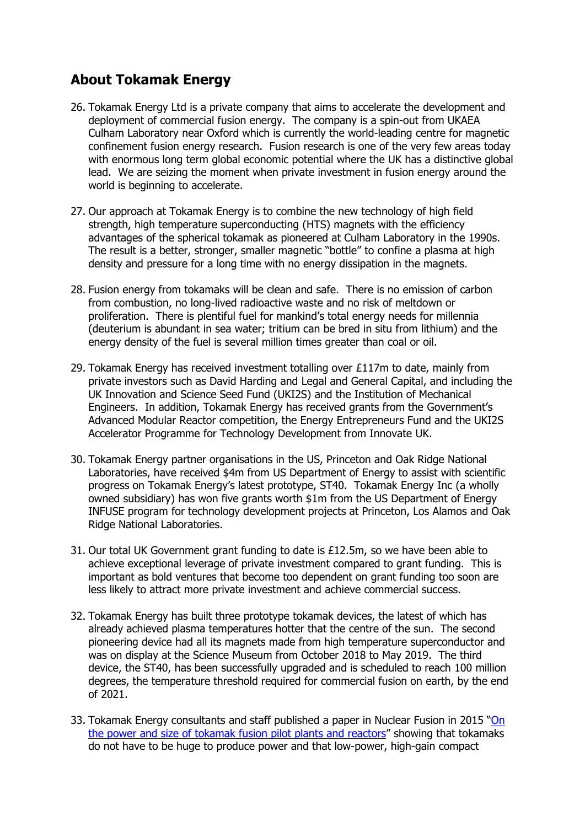# **About Tokamak Energy**

- 26. Tokamak Energy Ltd is a private company that aims to accelerate the development and deployment of commercial fusion energy. The company is a spin-out from UKAEA Culham Laboratory near Oxford which is currently the world-leading centre for magnetic confinement fusion energy research. Fusion research is one of the very few areas today with enormous long term global economic potential where the UK has a distinctive global lead. We are seizing the moment when private investment in fusion energy around the world is beginning to accelerate.
- 27. Our approach at Tokamak Energy is to combine the new technology of high field strength, high temperature superconducting (HTS) magnets with the efficiency advantages of the spherical tokamak as pioneered at Culham Laboratory in the 1990s. The result is a better, stronger, smaller magnetic "bottle" to confine a plasma at high density and pressure for a long time with no energy dissipation in the magnets.
- 28. Fusion energy from tokamaks will be clean and safe. There is no emission of carbon from combustion, no long-lived radioactive waste and no risk of meltdown or proliferation. There is plentiful fuel for mankind's total energy needs for millennia (deuterium is abundant in sea water; tritium can be bred in situ from lithium) and the energy density of the fuel is several million times greater than coal or oil.
- 29. Tokamak Energy has received investment totalling over £117m to date, mainly from private investors such as David Harding and Legal and General Capital, and including the UK Innovation and Science Seed Fund (UKI2S) and the Institution of Mechanical Engineers. In addition, Tokamak Energy has received grants from the Government's Advanced Modular Reactor competition, the Energy Entrepreneurs Fund and the UKI2S Accelerator Programme for Technology Development from Innovate UK.
- 30. Tokamak Energy partner organisations in the US, Princeton and Oak Ridge National Laboratories, have received \$4m from US Department of Energy to assist with scientific progress on Tokamak Energy's latest prototype, ST40. Tokamak Energy Inc (a wholly owned subsidiary) has won five grants worth \$1m from the US Department of Energy INFUSE program for technology development projects at Princeton, Los Alamos and Oak Ridge National Laboratories.
- 31. Our total UK Government grant funding to date is  $£12.5m$ , so we have been able to achieve exceptional leverage of private investment compared to grant funding. This is important as bold ventures that become too dependent on grant funding too soon are less likely to attract more private investment and achieve commercial success.
- 32. Tokamak Energy has built three prototype tokamak devices, the latest of which has already achieved plasma temperatures hotter that the centre of the sun. The second pioneering device had all its magnets made from high temperature superconductor and was on display at the Science Museum from October 2018 to May 2019. The third device, the ST40, has been successfully upgraded and is scheduled to reach 100 million degrees, the temperature threshold required for commercial fusion on earth, by the end of 2021.
- 33. Tokamak Energy consultants and staff published a paper in Nuclear Fusion in 2015 ["On](http://iopscience.iop.org/0029-5515/55/3/033001) [the](http://iopscience.iop.org/0029-5515/55/3/033001) [power](http://iopscience.iop.org/0029-5515/55/3/033001) [and](http://iopscience.iop.org/0029-5515/55/3/033001) [size](http://iopscience.iop.org/0029-5515/55/3/033001) [of](http://iopscience.iop.org/0029-5515/55/3/033001) [tokamak](http://iopscience.iop.org/0029-5515/55/3/033001) [fusion](http://iopscience.iop.org/0029-5515/55/3/033001) [pilot](http://iopscience.iop.org/0029-5515/55/3/033001) [plants](http://iopscience.iop.org/0029-5515/55/3/033001) [and](http://iopscience.iop.org/0029-5515/55/3/033001) [reactors"](http://iopscience.iop.org/0029-5515/55/3/033001) showing that tokamaks do not have to be huge to produce power and that low-power, high-gain compact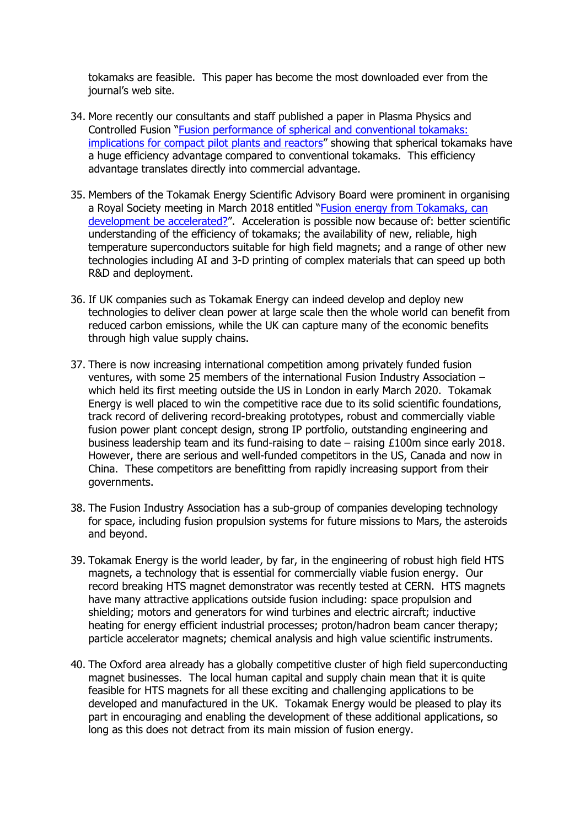tokamaks are feasible. This paper has become the most downloaded ever from the journal's web site.

- 34. More recently our consultants and staff published a paper in Plasma Physics and Controlled [Fu](https://iopscience.iop.org/article/10.1088/1361-6587/abcdfc)si[o](https://iopscience.iop.org/article/10.1088/1361-6587/abcdfc)n "[Fusion](https://iopscience.iop.org/article/10.1088/1361-6587/abcdfc) [performance](https://iopscience.iop.org/article/10.1088/1361-6587/abcdfc) [of](https://iopscience.iop.org/article/10.1088/1361-6587/abcdfc) [spherical](https://iopscience.iop.org/article/10.1088/1361-6587/abcdfc) [and](https://iopscience.iop.org/article/10.1088/1361-6587/abcdfc) [conventional](https://iopscience.iop.org/article/10.1088/1361-6587/abcdfc) [tokamaks:](https://iopscience.iop.org/article/10.1088/1361-6587/abcdfc) [implications](https://iopscience.iop.org/article/10.1088/1361-6587/abcdfc) [for](https://iopscience.iop.org/article/10.1088/1361-6587/abcdfc) [compact](https://iopscience.iop.org/article/10.1088/1361-6587/abcdfc) [pilot](https://iopscience.iop.org/article/10.1088/1361-6587/abcdfc) [plants](https://iopscience.iop.org/article/10.1088/1361-6587/abcdfc) [and](https://iopscience.iop.org/article/10.1088/1361-6587/abcdfc) [reactors"](https://iopscience.iop.org/article/10.1088/1361-6587/abcdfc) showing that spherical tokamaks have a huge efficiency advantage compared to conventional tokamaks. This efficiency advantage translates directly into commercial advantage.
- 35. Members of the Tokamak Energy Scientific Advisory Board were prominent in organising a Royal Society meeting in March 2018 entitled ["Fusion](https://royalsociety.org/science-events-and-lectures/2018/03/tokamak-development/) [energy](https://royalsociety.org/science-events-and-lectures/2018/03/tokamak-development/) [from](https://royalsociety.org/science-events-and-lectures/2018/03/tokamak-development/) [Tokamaks,](https://royalsociety.org/science-events-and-lectures/2018/03/tokamak-development/) [can](https://royalsociety.org/science-events-and-lectures/2018/03/tokamak-development/) [development](https://royalsociety.org/science-events-and-lectures/2018/03/tokamak-development/) [be](https://royalsociety.org/science-events-and-lectures/2018/03/tokamak-development/) [accelerated?"](https://royalsociety.org/science-events-and-lectures/2018/03/tokamak-development/). Acceleration is possible now because of: better scientific understanding of the efficiency of tokamaks; the availability of new, reliable, high temperature superconductors suitable for high field magnets; and a range of other new technologies including AI and 3-D printing of complex materials that can speed up both R&D and deployment.
- 36. If UK companies such as Tokamak Energy can indeed develop and deploy new technologies to deliver clean power at large scale then the whole world can benefit from reduced carbon emissions, while the UK can capture many of the economic benefits through high value supply chains.
- 37. There is now increasing international competition among privately funded fusion ventures, with some 25 members of the international Fusion Industry Association – which held its first meeting outside the US in London in early March 2020. Tokamak Energy is well placed to win the competitive race due to its solid scientific foundations, track record of delivering record-breaking prototypes, robust and commercially viable fusion power plant concept design, strong IP portfolio, outstanding engineering and business leadership team and its fund-raising to date – raising £100m since early 2018. However, there are serious and well-funded competitors in the US, Canada and now in China. These competitors are benefitting from rapidly increasing support from their governments.
- 38. The Fusion Industry Association has a sub-group of companies developing technology for space, including fusion propulsion systems for future missions to Mars, the asteroids and beyond.
- 39. Tokamak Energy is the world leader, by far, in the engineering of robust high field HTS magnets, a technology that is essential for commercially viable fusion energy. Our record breaking HTS magnet demonstrator was recently tested at CERN. HTS magnets have many attractive applications outside fusion including: space propulsion and shielding; motors and generators for wind turbines and electric aircraft; inductive heating for energy efficient industrial processes; proton/hadron beam cancer therapy; particle accelerator magnets; chemical analysis and high value scientific instruments.
- 40. The Oxford area already has a globally competitive cluster of high field superconducting magnet businesses. The local human capital and supply chain mean that it is quite feasible for HTS magnets for all these exciting and challenging applications to be developed and manufactured in the UK. Tokamak Energy would be pleased to play its part in encouraging and enabling the development of these additional applications, so long as this does not detract from its main mission of fusion energy.